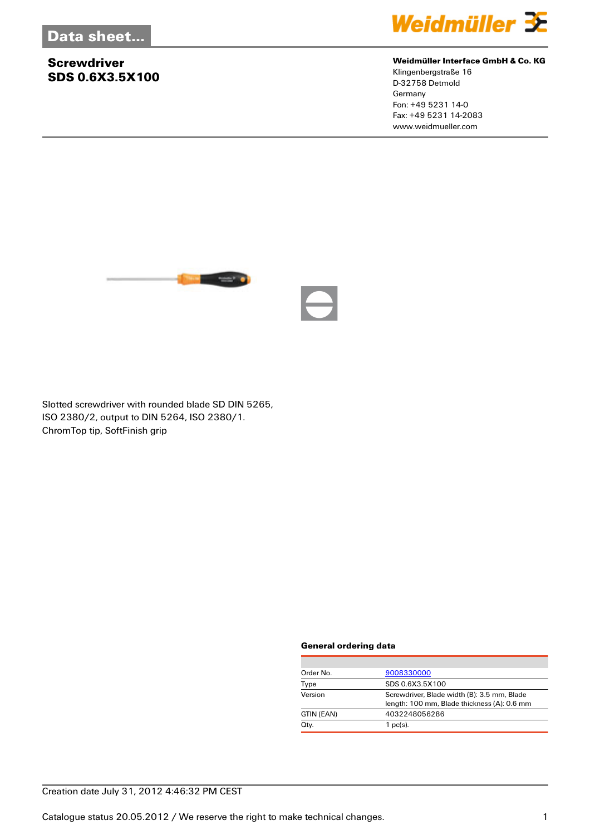## **Screwdriver SDS 0.6X3.5X100**



### **Weidmüller Interface GmbH & Co. KG**

Klingenbergstraße 16 D-32758 Detmold Germany Fon: +49 5231 14-0 Fax: +49 5231 14-2083 www.weidmueller.com



Slotted screwdriver with rounded blade SD DIN 5265, ISO 2380/2, output to DIN 5264, ISO 2380/1. ChromTop tip, SoftFinish grip

#### **General ordering data**

| Order No.  | 9008330000                                                                                 |  |
|------------|--------------------------------------------------------------------------------------------|--|
| Type       | SDS 0.6X3.5X100                                                                            |  |
| Version    | Screwdriver, Blade width (B): 3.5 mm, Blade<br>length: 100 mm, Blade thickness (A): 0.6 mm |  |
| GTIN (EAN) | 4032248056286                                                                              |  |
| Qty.       | $1$ pc(s).                                                                                 |  |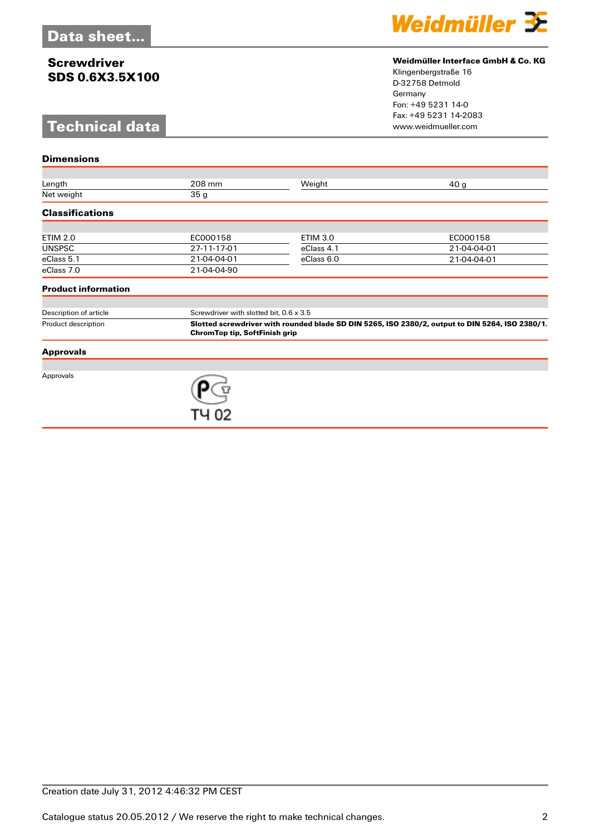## **Screwdriver SDS 0.6X3.5X100**

# **Technical data**

**Dimensions**



#### **Weidmüller Interface GmbH & Co. KG**

Klingenbergstraße 16 D-32758 Detmold Germany Fon: +49 5231 14-0 Fax: +49 5231 14-2083

| Length                     | 208 mm                                                                                                                                  | Weight          | 40 <sub>g</sub> |  |
|----------------------------|-----------------------------------------------------------------------------------------------------------------------------------------|-----------------|-----------------|--|
| Net weight                 | 35 <sub>g</sub>                                                                                                                         |                 |                 |  |
| <b>Classifications</b>     |                                                                                                                                         |                 |                 |  |
|                            |                                                                                                                                         |                 |                 |  |
| <b>ETIM 2.0</b>            | EC000158                                                                                                                                | <b>ETIM 3.0</b> | EC000158        |  |
| <b>UNSPSC</b>              | 27-11-17-01                                                                                                                             | eClass 4.1      | 21-04-04-01     |  |
| eClass 5.1                 | 21-04-04-01                                                                                                                             | eClass 6.0      | 21-04-04-01     |  |
| eClass 7.0                 | 21-04-04-90                                                                                                                             |                 |                 |  |
| <b>Product information</b> |                                                                                                                                         |                 |                 |  |
|                            |                                                                                                                                         |                 |                 |  |
| Description of article     | Screwdriver with slotted bit, 0.6 x 3.5                                                                                                 |                 |                 |  |
| Product description        | Slotted screwdriver with rounded blade SD DIN 5265, ISO 2380/2, output to DIN 5264, ISO 2380/1.<br><b>ChromTop tip, SoftFinish grip</b> |                 |                 |  |
| <b>Approvals</b>           |                                                                                                                                         |                 |                 |  |
|                            |                                                                                                                                         |                 |                 |  |
| Approvals                  |                                                                                                                                         |                 |                 |  |
|                            |                                                                                                                                         |                 |                 |  |
|                            |                                                                                                                                         |                 |                 |  |